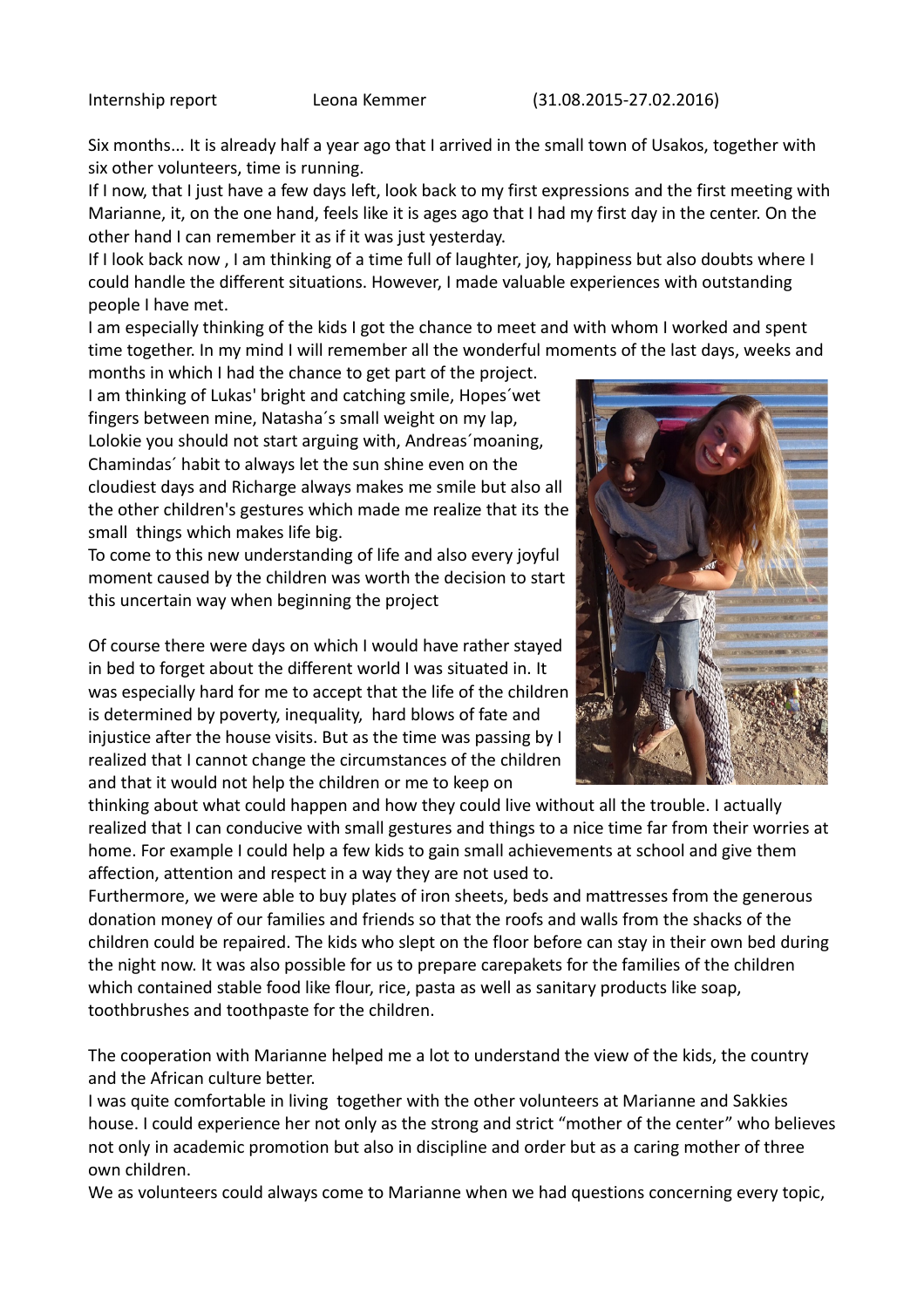Six months... It is already half a year ago that I arrived in the small town of Usakos, together with six other volunteers, time is running.

If I now, that I just have a few days left, look back to my first expressions and the first meeting with Marianne, it, on the one hand, feels like it is ages ago that I had my first day in the center. On the other hand I can remember it as if it was just yesterday.

If I look back now , I am thinking of a time full of laughter, joy, happiness but also doubts where I could handle the different situations. However, I made valuable experiences with outstanding people I have met.

I am especially thinking of the kids I got the chance to meet and with whom I worked and spent time together. In my mind I will remember all the wonderful moments of the last days, weeks and

months in which I had the chance to get part of the project. I am thinking of Lukas' bright and catching smile, Hopes´wet fingers between mine, Natasha´s small weight on my lap, Lolokie you should not start arguing with, Andreas´moaning, Chamindas´ habit to always let the sun shine even on the cloudiest days and Richarge always makes me smile but also all the other children's gestures which made me realize that its the small things which makes life big.

To come to this new understanding of life and also every joyful moment caused by the children was worth the decision to start this uncertain way when beginning the project

Of course there were days on which I would have rather stayed in bed to forget about the different world I was situated in. It was especially hard for me to accept that the life of the children is determined by poverty, inequality, hard blows of fate and injustice after the house visits. But as the time was passing by I realized that I cannot change the circumstances of the children and that it would not help the children or me to keep on



thinking about what could happen and how they could live without all the trouble. I actually realized that I can conducive with small gestures and things to a nice time far from their worries at home. For example I could help a few kids to gain small achievements at school and give them affection, attention and respect in a way they are not used to.

Furthermore, we were able to buy plates of iron sheets, beds and mattresses from the generous donation money of our families and friends so that the roofs and walls from the shacks of the children could be repaired. The kids who slept on the floor before can stay in their own bed during the night now. It was also possible for us to prepare carepakets for the families of the children which contained stable food like flour, rice, pasta as well as sanitary products like soap, toothbrushes and toothpaste for the children.

The cooperation with Marianne helped me a lot to understand the view of the kids, the country and the African culture better.

I was quite comfortable in living together with the other volunteers at Marianne and Sakkies house. I could experience her not only as the strong and strict "mother of the center" who believes not only in academic promotion but also in discipline and order but as a caring mother of three own children.

We as volunteers could always come to Marianne when we had questions concerning every topic,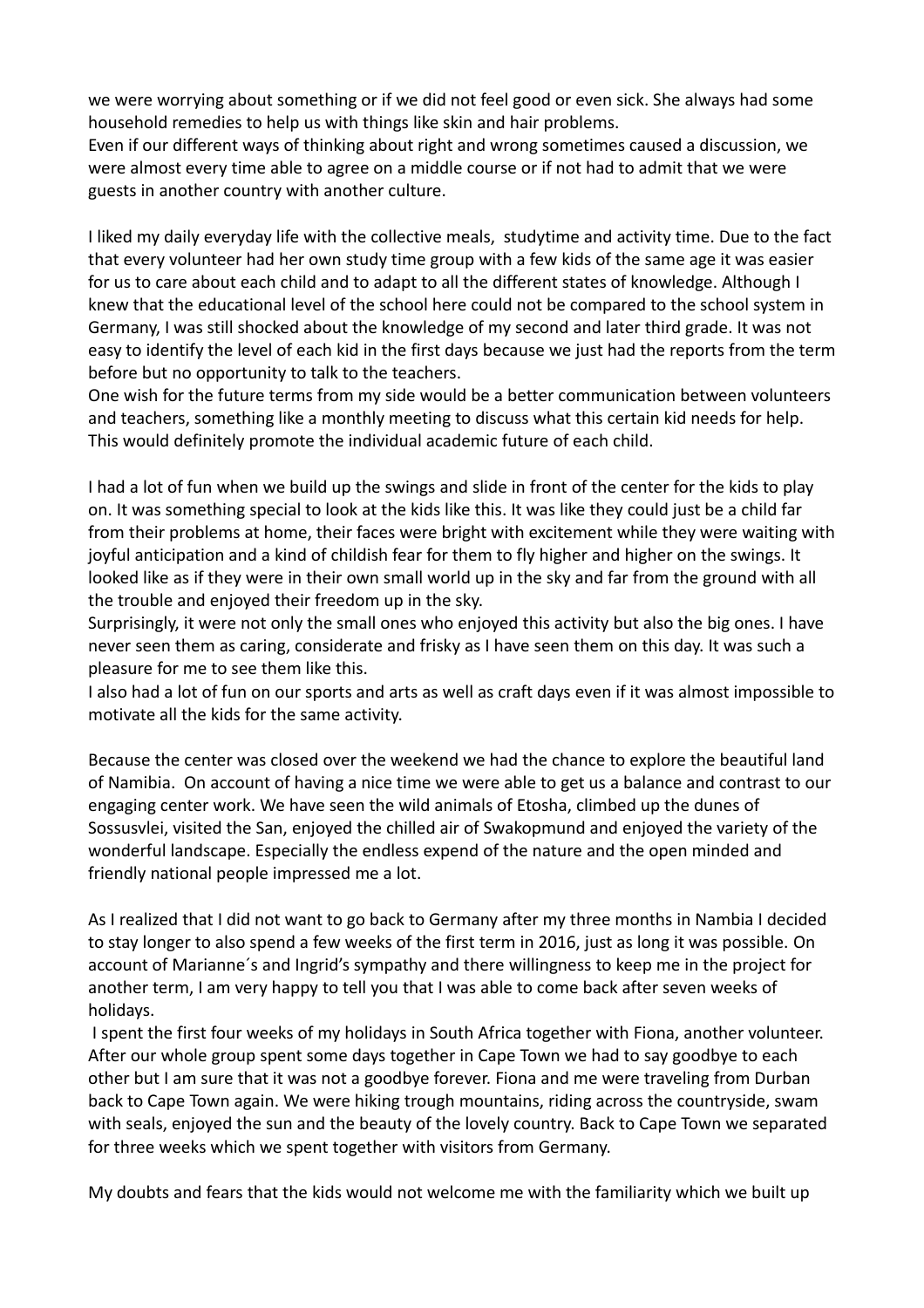we were worrying about something or if we did not feel good or even sick. She always had some household remedies to help us with things like skin and hair problems.

Even if our different ways of thinking about right and wrong sometimes caused a discussion, we were almost every time able to agree on a middle course or if not had to admit that we were guests in another country with another culture.

I liked my daily everyday life with the collective meals, studytime and activity time. Due to the fact that every volunteer had her own study time group with a few kids of the same age it was easier for us to care about each child and to adapt to all the different states of knowledge. Although I knew that the educational level of the school here could not be compared to the school system in Germany, I was still shocked about the knowledge of my second and later third grade. It was not easy to identify the level of each kid in the first days because we just had the reports from the term before but no opportunity to talk to the teachers.

One wish for the future terms from my side would be a better communication between volunteers and teachers, something like a monthly meeting to discuss what this certain kid needs for help. This would definitely promote the individual academic future of each child.

I had a lot of fun when we build up the swings and slide in front of the center for the kids to play on. It was something special to look at the kids like this. It was like they could just be a child far from their problems at home, their faces were bright with excitement while they were waiting with joyful anticipation and a kind of childish fear for them to fly higher and higher on the swings. It looked like as if they were in their own small world up in the sky and far from the ground with all the trouble and enjoyed their freedom up in the sky.

Surprisingly, it were not only the small ones who enjoyed this activity but also the big ones. I have never seen them as caring, considerate and frisky as I have seen them on this day. It was such a pleasure for me to see them like this.

I also had a lot of fun on our sports and arts as well as craft days even if it was almost impossible to motivate all the kids for the same activity.

Because the center was closed over the weekend we had the chance to explore the beautiful land of Namibia. On account of having a nice time we were able to get us a balance and contrast to our engaging center work. We have seen the wild animals of Etosha, climbed up the dunes of Sossusvlei, visited the San, enjoyed the chilled air of Swakopmund and enjoyed the variety of the wonderful landscape. Especially the endless expend of the nature and the open minded and friendly national people impressed me a lot.

As I realized that I did not want to go back to Germany after my three months in Nambia I decided to stay longer to also spend a few weeks of the first term in 2016, just as long it was possible. On account of Marianne´s and Ingrid's sympathy and there willingness to keep me in the project for another term, I am very happy to tell you that I was able to come back after seven weeks of holidays.

 I spent the first four weeks of my holidays in South Africa together with Fiona, another volunteer. After our whole group spent some days together in Cape Town we had to say goodbye to each other but I am sure that it was not a goodbye forever. Fiona and me were traveling from Durban back to Cape Town again. We were hiking trough mountains, riding across the countryside, swam with seals, enjoyed the sun and the beauty of the lovely country. Back to Cape Town we separated for three weeks which we spent together with visitors from Germany.

My doubts and fears that the kids would not welcome me with the familiarity which we built up